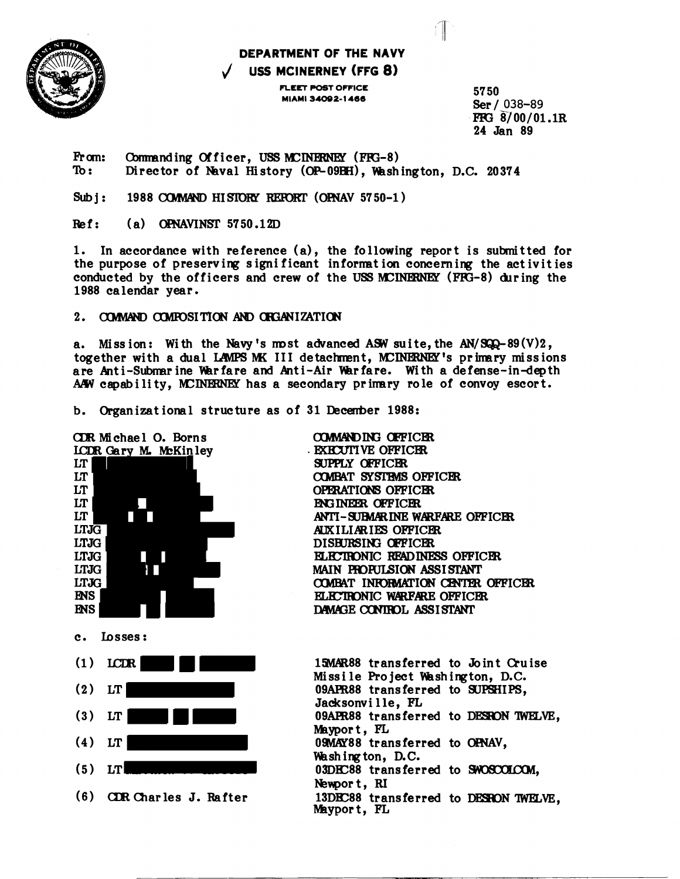

## DEPARTMENT OF THE NAVY USS MCINERNEY (FFG 8)

FLEET POST OFFICE MIAMI 34092-1466

5750 Ser / 038-89 FFG 8/00/01.1R 24 Jan 89

1

From: Commanding Officer, USS MCINERNEY (FFG-8)  $\mathbf{r}$ Director of Naval History (OP-09BH), Washington, D.C. 20374

1988 COMMAND HISTORY REPORT (OPNAV 5750-1)  $Subi:$ 

 $(a)$  OPNAVINST 5750.12D  $Ref:$ 

1. In accordance with reference (a), the following report is submitted for the purpose of preserving significant information concerning the activities conducted by the officers and crew of the USS MCINERNEY (FFG-8) during the 1988 calendar year.

## 2. COMMAND COMPOSITION AND CHGANIZATION

a. Mission: With the Navy's most advanced ASW suite, the AN/SQQ-89 $(V)2$ , together with a dual LAMPS MK III detachment, MCINERNEY's primary missions are Anti-Submarine Warfare and Anti-Air Warfare. With a defense-in-depth AAW capability, MCINERNEY has a secondary primary role of convoy escort.

b. Organizational structure as of 31 December 1988:

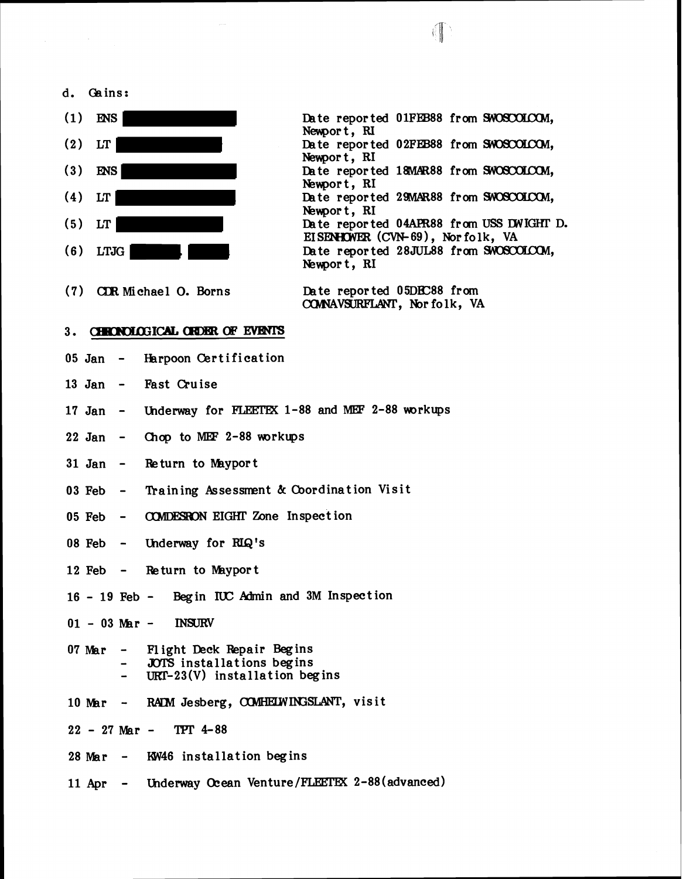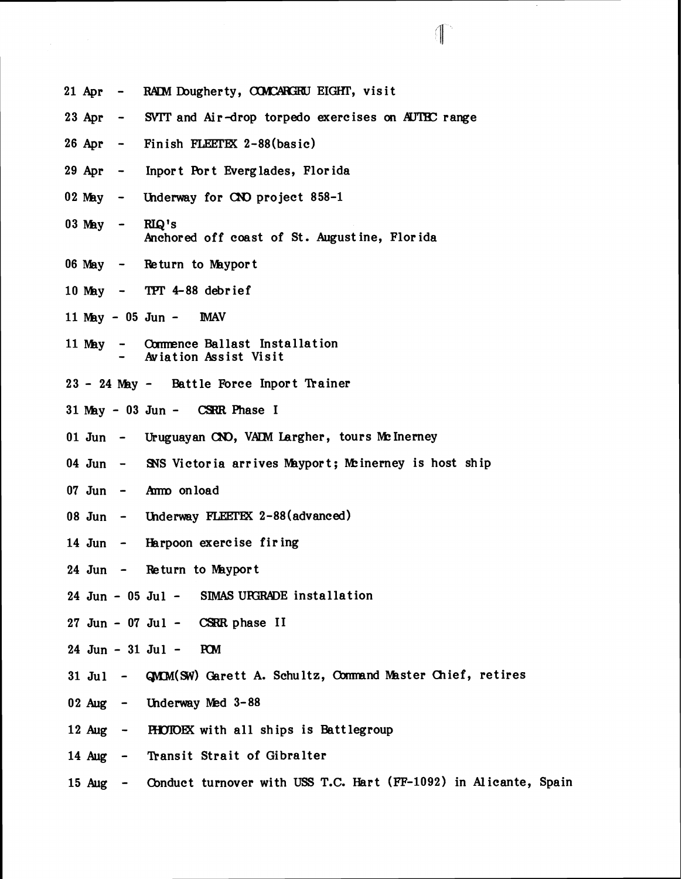- 21 Apr RADM Dougherty, COMCARGRU EIGHT, visit
- 23 Apr SVTT and Air-drop torpedo exercises on AUTBC range

 $\overline{\mathcal{L}}$ 

- $26$  Apr Finish FLEETEX  $2-88$ (basic)
- 29 Apr Inport Port Everglades, Florida
- 02 May Underway for CNO project 858-1
- $03$  May RIQ's hchored off coast of St. August ine, Florida
- $06$  May Return to Mayport
- 10 NBy **TFl'** 4-88 debrief
- 11 May 05 Jun MAV
- 11 May Commence Ballast Installation Aviation Assist Visit
- 23 24 May Battle Force Inport Trainer
- $31$  May 03 Jun CSRR Phase I
- 01 Jun Uruguayan CNO, VALM Largher, tours Mc Inerney
- 04 Jun SNS Victoria arrives Mayport; Meinerney is host ship
- 07 Jun Ammo on load
- 08 Jun Underway FLEETEX 2-88(advanced)
- 14 Jun Harpoon exercise firing
- 24 Jun  $-$  Return to Mayport
- 24 Jun 05 Jul SIMAS UPGRADE installation
- $27$  Jun  $07$  Jul CSRR phase II
- $24$  Jun  $31$  Jul PCM
- 31 Jul **GMCM(SW)** Garett A. Schultz, Command Master Chief, retires
- 02 Aug Ulderway **Med** 3-88
- 12 Aug HOIOEX with all ships is Battlegroup
- 14 Aug Transit Strait of Gibralter
- 15 Aug Cbnduct turnover with **USS T.C.** Hart (FF-1092) in Alicante, Spain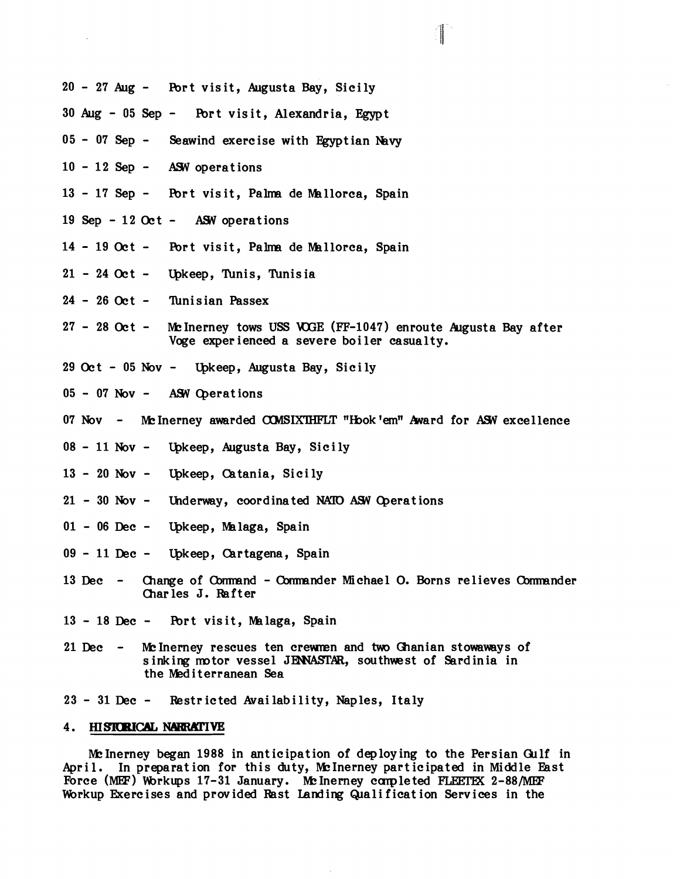- **<sup>20</sup> 27** Aug Pbrt visit, Augusta Bay, Sicily
- **<sup>30</sup>**Aug **05** Sep Fbrt visit, Alexandria, Egypt
- **<sup>05</sup> 07** Sep Seawind exercise with Egyptian **Nvy**
- 10 12 Sep ASW operations
- 13 17 Sep Port visit, Palma de Mallorca, Spain
- **<sup>19</sup>**Sep **12** Oc t AW operations
- 14 19 Oct Port visit, Palma de Mallorca, Spain
- **<sup>21</sup> 24** Oct Qkeep, Tunis, Tunisia
- 24 26 Oct Tunisian Passex
- **<sup>27</sup> 28** Oct MInerney tows **USS** WE **(FF-1047)** enroute Augusta Bay after Voge experienced a severe boiler casualty.
- 29 Oct 05 Nov Upkeep, Augusta Bay, Sicily
- **<sup>05</sup> 07** Nov AS4 Qerations
- 07 Nov Me Inerney awarded COMSIXTHFLT "Hook 'em" Award for ASW excellence
- 08 11 Nov Upkeep, Augusta Bay, Sicily
- **<sup>13</sup> 20** Nov Qkeep, Catania, Sicily
- 21 30 Nov Underway, coordinated NATO ASW Operations
- 01 06 Dec Upkeep, Malaga, Spain
- 09 11 Dec Upkeep, Cartagena, Spain
- **<sup>13</sup>**Dec Change of Cbmmnd Owrmander Michael **0.** Borns relieves Cbmmnder Charles J. Rafter
- 13 18 Dec Port visit, Malaga, Spain
- 21 Dec Mc Inerney rescues ten crewmen and two Ghanian stowaways of sinking motor vessel JENNASTAR, southwest of Sardinia in the Mediterranean Sea
- **<sup>23</sup>** 31Dec Restricted Availability, Naples, Italy

## 4. HISTORICAL NARRATIVE

Mc Inerney began 1988 in anticipation of deploying to the Persian Gulf in April. In preparation for this duty, McInerney participated in Middle East Force (MEF) Workups 17-31 January. Mc Inerney completed FLEETEX 2-88/MEF Workup Exercises and provided Rast Landing Qualification Services in the

 $\mathbb{I}$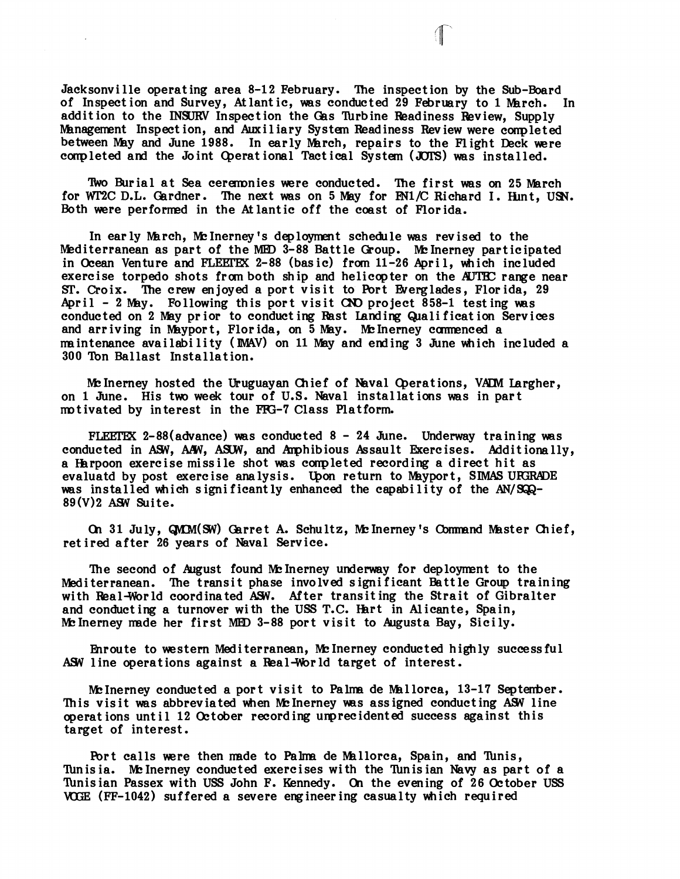Jacksonville operating area 8-12 February. The inspection by the Sub-Board of Inspection and Survey, Atlantic, was conducted 29 February to 1 March. In addition to the **INSURV** Inspection the Gas Turbine Readiness Review, Supply Management Inspection, and Auxiliary System Readiness Review were completed between May and June 1988. In early March, repairs to the Flight Deck were conpleted and the Joint Qerat ional Tact ical System **(JUIS)** was installed.

Two Burial at Sea ceremonies were conducted. The first was on 25 March for WT2C D.L. Gardner. The next was on 5 May for  $FM1/C$  Richard I. Hint, USN. Both were performed in the Atlantic off the coast of Florida.

In early March, McInerney's deployment schedule was revised to the Mediterranean as part of the MED 3-88 Battle Group. Me Inerney participated in Ocean Venture and **FLEFFEK** 2-88 (bas ic) from 11-26 Apri 1, which included exercise torpedo shots from both ship and helicopter on the AUTEC range near **ST.** Croix. 'Ihe crew enjoyed a port visit to Port Everglades, Florida, 29 April - 2 May. Following this port visit CNO project 858-1 testing was conducted on 2 May prior to conducting Rast Landing Qualification Services and arriving in Mayport, Florida, on 5 May. McInerney commenced a mintenance availability **(IMAV)** on 11 May and ending 3 June which included a 300 Ton Ballast Installat ion.

Mc Inerney hosted the Uruguayan Chief of Naval Operations, VADM Largher, on 1 June. His two week tour of U.S. Naval installations was in part motivated by interest in the FFG-7 Class Platform.

FLEETEX 2-88(advance) was conducted  $8 - 24$  June. Underway training was conducted in ASW, AAW, ASUW, and Amphibious Assault Exercises. Additionally, a Harpoon exercise missile shot was conpleted recording a direct hit as evaluatd by post exercise analysis. Upon return to Mayport, SIMAS URGRADE was installed which significantly enhanced the capability of the  $AN/SQQ-$ 89(V)2 ASW Suite.

(21 31 July, **W(W)** arret A. Schultz, WInerneyts Cbnnmnd Master Chief, retired after 26 years of Naval Service.

The second of August found Mc Inerney underway for deployment to the Mediterranean. 'Ihe transit phase involved significant Battle Group training with Real-World coordinated ASW. After transiting the Strait of Gibralter and conducting a turnover with the USS T.C. Hart in Alicante, Spain, Mc Inerney made her first MED 3-88 port visit to Augusta Bay, Sicily.

Enroute to western Mediterranean, McInerney conducted highly successful ASW line operations against a Real-World target of interest.

McInerney conducted a port visit to Palma de Mallorca, 13-17 September. This visit was abbreviated when McInerney was assigned conducting ASW line operations until 12 October recording unprecidented success against this target of interest.

Port calls were then made to Palma de Mallorca, Spain, and Tunis, Tunisia. Me Inerney conducted exercises with the Tunisian Navy as part of a This ian Passex with USS John F. Kennedy. **01** the evening of 26 October USS WEE (FF-1042) suffered a severe engineering casualty which required